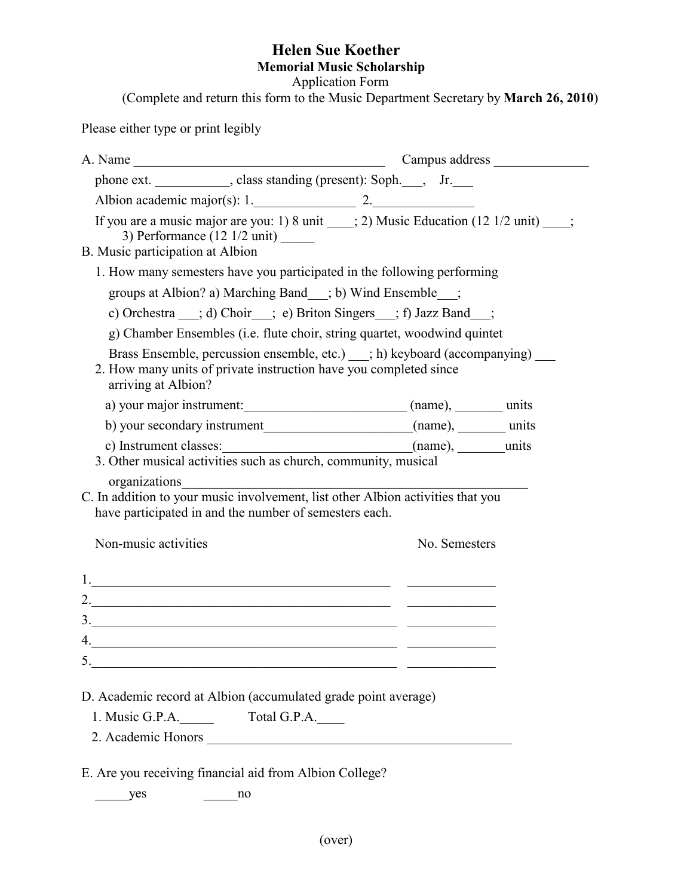## **Helen Sue Koether Memorial Music Scholarship**

Application Form

(Complete and return this form to the Music Department Secretary by **March 26, 2010**)

Please either type or print legibly

| phone ext. ____________, class standing (present): Soph.___, Jr.___                                                                                                      |  |  |               |  |
|--------------------------------------------------------------------------------------------------------------------------------------------------------------------------|--|--|---------------|--|
| Albion academic major(s): $1.$ 2.                                                                                                                                        |  |  |               |  |
| If you are a music major are you: 1) 8 unit ___; 2) Music Education $(12 \frac{1}{2} \text{ unit})$ ___;<br>3) Performance $(12 \frac{1}{2} \text{ unit})$               |  |  |               |  |
| B. Music participation at Albion                                                                                                                                         |  |  |               |  |
| 1. How many semesters have you participated in the following performing                                                                                                  |  |  |               |  |
| groups at Albion? a) Marching Band__; b) Wind Ensemble__;                                                                                                                |  |  |               |  |
| c) Orchestra __; d) Choir__; e) Briton Singers __; f) Jazz Band__;                                                                                                       |  |  |               |  |
| g) Chamber Ensembles (i.e. flute choir, string quartet, woodwind quintet                                                                                                 |  |  |               |  |
| Brass Ensemble, percussion ensemble, etc.) __; h) keyboard (accompanying) __<br>2. How many units of private instruction have you completed since<br>arriving at Albion? |  |  |               |  |
| a) your major instrument: (name), units                                                                                                                                  |  |  |               |  |
|                                                                                                                                                                          |  |  |               |  |
|                                                                                                                                                                          |  |  |               |  |
|                                                                                                                                                                          |  |  |               |  |
| organizations<br>C. In addition to your music involvement, list other Albion activities that you                                                                         |  |  |               |  |
| have participated in and the number of semesters each.                                                                                                                   |  |  |               |  |
|                                                                                                                                                                          |  |  |               |  |
| Non-music activities                                                                                                                                                     |  |  | No. Semesters |  |
|                                                                                                                                                                          |  |  |               |  |
|                                                                                                                                                                          |  |  |               |  |
| 2. $\overline{\phantom{a}}$                                                                                                                                              |  |  |               |  |
|                                                                                                                                                                          |  |  |               |  |
| 4. $\overline{\phantom{a}}$                                                                                                                                              |  |  |               |  |
| 5.<br><u> 1989 - Johann Barbara, martin din Barbara, martxa a shekara 1980 - 1981 - 1982 - 1983 - 1984 - 1986 - 1987 - </u>                                              |  |  |               |  |
| D. Academic record at Albion (accumulated grade point average)                                                                                                           |  |  |               |  |
| 1. Music G.P.A. Total G.P.A.                                                                                                                                             |  |  |               |  |
|                                                                                                                                                                          |  |  |               |  |
|                                                                                                                                                                          |  |  |               |  |
| E. Are you receiving financial aid from Albion College?                                                                                                                  |  |  |               |  |
| yes<br>no                                                                                                                                                                |  |  |               |  |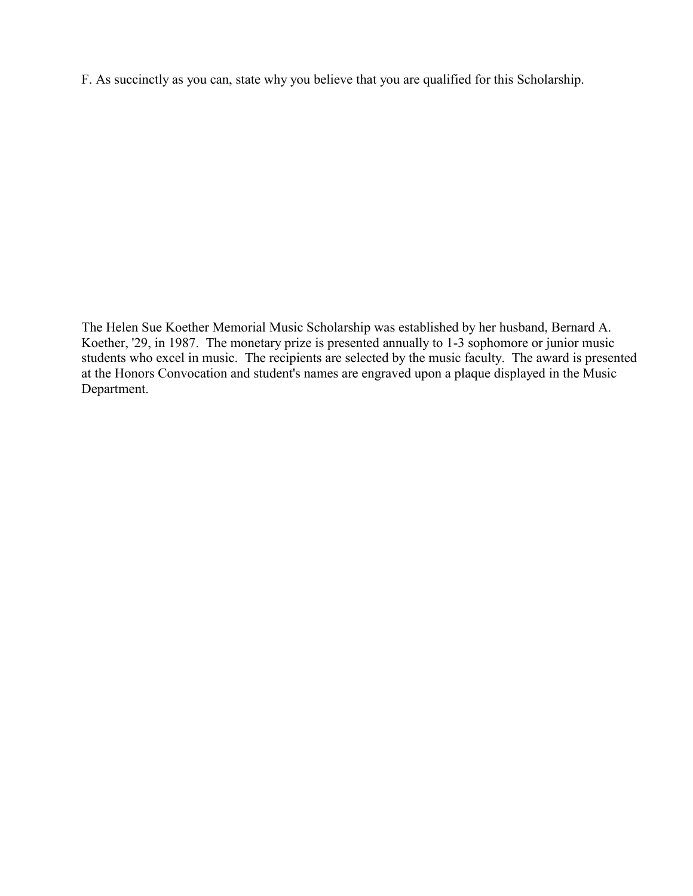F. As succinctly as you can, state why you believe that you are qualified for this Scholarship.

The Helen Sue Koether Memorial Music Scholarship was established by her husband, Bernard A. Koether, '29, in 1987. The monetary prize is presented annually to 1-3 sophomore or junior music students who excel in music. The recipients are selected by the music faculty. The award is presented at the Honors Convocation and student's names are engraved upon a plaque displayed in the Music Department.